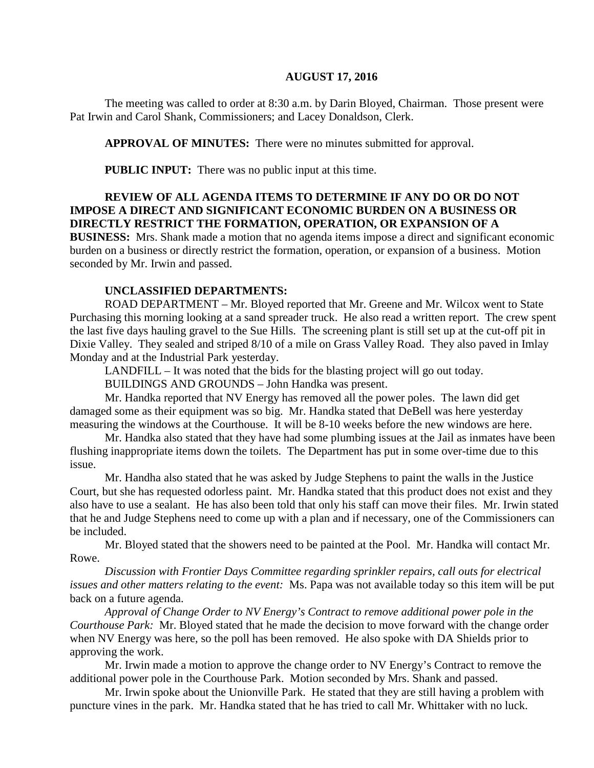#### **AUGUST 17, 2016**

The meeting was called to order at 8:30 a.m. by Darin Bloyed, Chairman. Those present were Pat Irwin and Carol Shank, Commissioners; and Lacey Donaldson, Clerk.

**APPROVAL OF MINUTES:** There were no minutes submitted for approval.

 **PUBLIC INPUT:** There was no public input at this time.

### **REVIEW OF ALL AGENDA ITEMS TO DETERMINE IF ANY DO OR DO NOT IMPOSE A DIRECT AND SIGNIFICANT ECONOMIC BURDEN ON A BUSINESS OR DIRECTLY RESTRICT THE FORMATION, OPERATION, OR EXPANSION OF A**

**BUSINESS:** Mrs. Shank made a motion that no agenda items impose a direct and significant economic burden on a business or directly restrict the formation, operation, or expansion of a business. Motion seconded by Mr. Irwin and passed.

#### **UNCLASSIFIED DEPARTMENTS:**

ROAD DEPARTMENT – Mr. Bloyed reported that Mr. Greene and Mr. Wilcox went to State Purchasing this morning looking at a sand spreader truck. He also read a written report. The crew spent the last five days hauling gravel to the Sue Hills. The screening plant is still set up at the cut-off pit in Dixie Valley. They sealed and striped 8/10 of a mile on Grass Valley Road. They also paved in Imlay Monday and at the Industrial Park yesterday.

LANDFILL – It was noted that the bids for the blasting project will go out today.

BUILDINGS AND GROUNDS – John Handka was present.

Mr. Handka reported that NV Energy has removed all the power poles. The lawn did get damaged some as their equipment was so big. Mr. Handka stated that DeBell was here yesterday measuring the windows at the Courthouse. It will be 8-10 weeks before the new windows are here.

Mr. Handka also stated that they have had some plumbing issues at the Jail as inmates have been flushing inappropriate items down the toilets. The Department has put in some over-time due to this issue.

Mr. Handha also stated that he was asked by Judge Stephens to paint the walls in the Justice Court, but she has requested odorless paint. Mr. Handka stated that this product does not exist and they also have to use a sealant. He has also been told that only his staff can move their files. Mr. Irwin stated that he and Judge Stephens need to come up with a plan and if necessary, one of the Commissioners can be included.

Mr. Bloyed stated that the showers need to be painted at the Pool. Mr. Handka will contact Mr. Rowe.

*Discussion with Frontier Days Committee regarding sprinkler repairs, call outs for electrical issues and other matters relating to the event:* Ms. Papa was not available today so this item will be put back on a future agenda.

*Approval of Change Order to NV Energy's Contract to remove additional power pole in the Courthouse Park:* Mr. Bloyed stated that he made the decision to move forward with the change order when NV Energy was here, so the poll has been removed. He also spoke with DA Shields prior to approving the work.

Mr. Irwin made a motion to approve the change order to NV Energy's Contract to remove the additional power pole in the Courthouse Park. Motion seconded by Mrs. Shank and passed.

Mr. Irwin spoke about the Unionville Park. He stated that they are still having a problem with puncture vines in the park. Mr. Handka stated that he has tried to call Mr. Whittaker with no luck.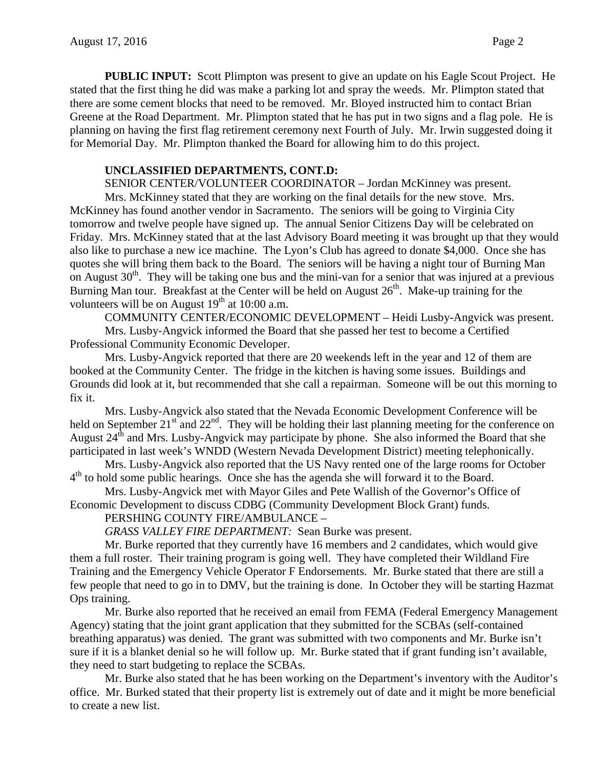**PUBLIC INPUT:** Scott Plimpton was present to give an update on his Eagle Scout Project. He stated that the first thing he did was make a parking lot and spray the weeds. Mr. Plimpton stated that there are some cement blocks that need to be removed. Mr. Bloyed instructed him to contact Brian Greene at the Road Department. Mr. Plimpton stated that he has put in two signs and a flag pole. He is planning on having the first flag retirement ceremony next Fourth of July. Mr. Irwin suggested doing it for Memorial Day. Mr. Plimpton thanked the Board for allowing him to do this project.

#### **UNCLASSIFIED DEPARTMENTS, CONT.D:**

SENIOR CENTER/VOLUNTEER COORDINATOR – Jordan McKinney was present.

Mrs. McKinney stated that they are working on the final details for the new stove. Mrs. McKinney has found another vendor in Sacramento. The seniors will be going to Virginia City tomorrow and twelve people have signed up. The annual Senior Citizens Day will be celebrated on Friday. Mrs. McKinney stated that at the last Advisory Board meeting it was brought up that they would also like to purchase a new ice machine. The Lyon's Club has agreed to donate \$4,000. Once she has quotes she will bring them back to the Board. The seniors will be having a night tour of Burning Man on August  $30<sup>th</sup>$ . They will be taking one bus and the mini-van for a senior that was injured at a previous Burning Man tour. Breakfast at the Center will be held on August  $26<sup>th</sup>$ . Make-up training for the volunteers will be on August  $19<sup>th</sup>$  at 10:00 a.m.

COMMUNITY CENTER/ECONOMIC DEVELOPMENT – Heidi Lusby-Angvick was present. Mrs. Lusby-Angvick informed the Board that she passed her test to become a Certified

Professional Community Economic Developer.

Mrs. Lusby-Angvick reported that there are 20 weekends left in the year and 12 of them are booked at the Community Center. The fridge in the kitchen is having some issues. Buildings and Grounds did look at it, but recommended that she call a repairman. Someone will be out this morning to fix it.

Mrs. Lusby-Angvick also stated that the Nevada Economic Development Conference will be held on September  $21^{st}$  and  $22^{nd}$ . They will be holding their last planning meeting for the conference on August 24<sup>th</sup> and Mrs. Lusby-Angvick may participate by phone. She also informed the Board that she participated in last week's WNDD (Western Nevada Development District) meeting telephonically.

Mrs. Lusby-Angvick also reported that the US Navy rented one of the large rooms for October  $4<sup>th</sup>$  to hold some public hearings. Once she has the agenda she will forward it to the Board.

Mrs. Lusby-Angvick met with Mayor Giles and Pete Wallish of the Governor's Office of Economic Development to discuss CDBG (Community Development Block Grant) funds.

PERSHING COUNTY FIRE/AMBULANCE –

*GRASS VALLEY FIRE DEPARTMENT:* Sean Burke was present.

Mr. Burke reported that they currently have 16 members and 2 candidates, which would give them a full roster. Their training program is going well. They have completed their Wildland Fire Training and the Emergency Vehicle Operator F Endorsements. Mr. Burke stated that there are still a few people that need to go in to DMV, but the training is done. In October they will be starting Hazmat Ops training.

Mr. Burke also reported that he received an email from FEMA (Federal Emergency Management Agency) stating that the joint grant application that they submitted for the SCBAs (self-contained breathing apparatus) was denied. The grant was submitted with two components and Mr. Burke isn't sure if it is a blanket denial so he will follow up. Mr. Burke stated that if grant funding isn't available, they need to start budgeting to replace the SCBAs.

Mr. Burke also stated that he has been working on the Department's inventory with the Auditor's office. Mr. Burked stated that their property list is extremely out of date and it might be more beneficial to create a new list.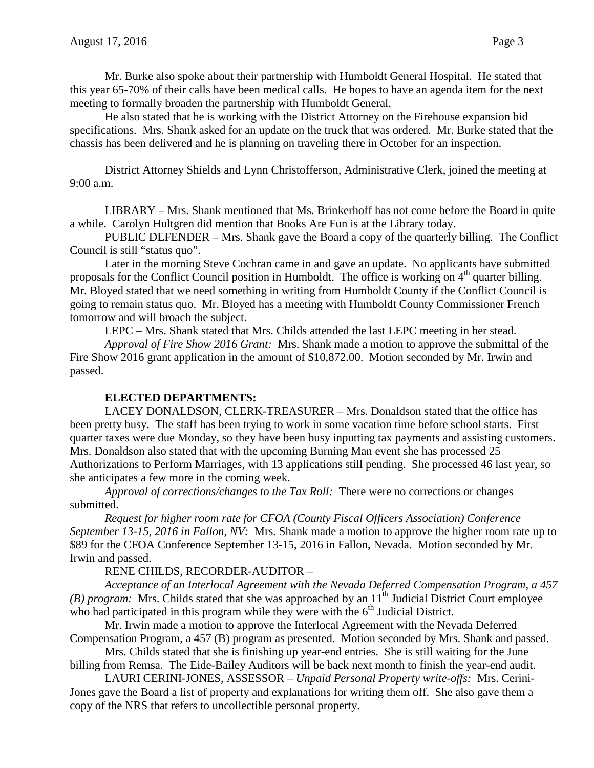He also stated that he is working with the District Attorney on the Firehouse expansion bid specifications. Mrs. Shank asked for an update on the truck that was ordered. Mr. Burke stated that the chassis has been delivered and he is planning on traveling there in October for an inspection.

District Attorney Shields and Lynn Christofferson, Administrative Clerk, joined the meeting at 9:00 a.m.

LIBRARY – Mrs. Shank mentioned that Ms. Brinkerhoff has not come before the Board in quite a while. Carolyn Hultgren did mention that Books Are Fun is at the Library today.

PUBLIC DEFENDER – Mrs. Shank gave the Board a copy of the quarterly billing. The Conflict Council is still "status quo".

Later in the morning Steve Cochran came in and gave an update. No applicants have submitted proposals for the Conflict Council position in Humboldt. The office is working on 4<sup>th</sup> quarter billing. Mr. Bloyed stated that we need something in writing from Humboldt County if the Conflict Council is going to remain status quo. Mr. Bloyed has a meeting with Humboldt County Commissioner French tomorrow and will broach the subject.

LEPC – Mrs. Shank stated that Mrs. Childs attended the last LEPC meeting in her stead.

*Approval of Fire Show 2016 Grant:* Mrs. Shank made a motion to approve the submittal of the Fire Show 2016 grant application in the amount of \$10,872.00. Motion seconded by Mr. Irwin and passed.

# **ELECTED DEPARTMENTS:**

LACEY DONALDSON, CLERK-TREASURER – Mrs. Donaldson stated that the office has been pretty busy. The staff has been trying to work in some vacation time before school starts. First quarter taxes were due Monday, so they have been busy inputting tax payments and assisting customers. Mrs. Donaldson also stated that with the upcoming Burning Man event she has processed 25 Authorizations to Perform Marriages, with 13 applications still pending. She processed 46 last year, so she anticipates a few more in the coming week.

*Approval of corrections/changes to the Tax Roll:* There were no corrections or changes submitted.

*Request for higher room rate for CFOA (County Fiscal Officers Association) Conference September 13-15, 2016 in Fallon, NV:* Mrs. Shank made a motion to approve the higher room rate up to \$89 for the CFOA Conference September 13-15, 2016 in Fallon, Nevada. Motion seconded by Mr. Irwin and passed.

RENE CHILDS, RECORDER-AUDITOR –

*Acceptance of an Interlocal Agreement with the Nevada Deferred Compensation Program, a 457 (B) program:* Mrs. Childs stated that she was approached by an 11<sup>th</sup> Judicial District Court employee who had participated in this program while they were with the 6<sup>th</sup> Judicial District.

Mr. Irwin made a motion to approve the Interlocal Agreement with the Nevada Deferred Compensation Program, a 457 (B) program as presented. Motion seconded by Mrs. Shank and passed.

Mrs. Childs stated that she is finishing up year-end entries. She is still waiting for the June billing from Remsa. The Eide-Bailey Auditors will be back next month to finish the year-end audit.

LAURI CERINI-JONES, ASSESSOR – *Unpaid Personal Property write-offs:* Mrs. Cerini-Jones gave the Board a list of property and explanations for writing them off. She also gave them a copy of the NRS that refers to uncollectible personal property.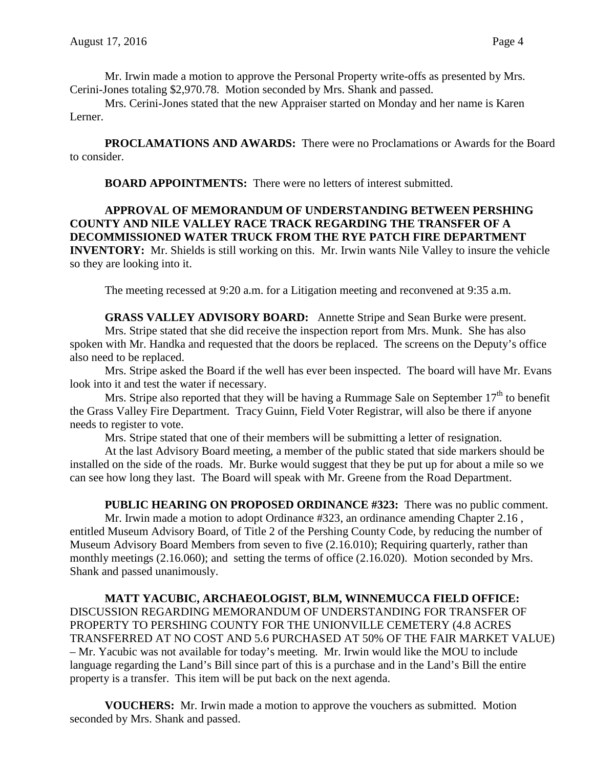Mr. Irwin made a motion to approve the Personal Property write-offs as presented by Mrs. Cerini-Jones totaling \$2,970.78. Motion seconded by Mrs. Shank and passed.

Mrs. Cerini-Jones stated that the new Appraiser started on Monday and her name is Karen Lerner.

**PROCLAMATIONS AND AWARDS:** There were no Proclamations or Awards for the Board to consider.

**BOARD APPOINTMENTS:** There were no letters of interest submitted.

#### **APPROVAL OF MEMORANDUM OF UNDERSTANDING BETWEEN PERSHING COUNTY AND NILE VALLEY RACE TRACK REGARDING THE TRANSFER OF A DECOMMISSIONED WATER TRUCK FROM THE RYE PATCH FIRE DEPARTMENT INVENTORY:** Mr. Shields is still working on this. Mr. Irwin wants Nile Valley to insure the vehicle so they are looking into it.

The meeting recessed at 9:20 a.m. for a Litigation meeting and reconvened at 9:35 a.m.

**GRASS VALLEY ADVISORY BOARD:** Annette Stripe and Sean Burke were present. Mrs. Stripe stated that she did receive the inspection report from Mrs. Munk. She has also spoken with Mr. Handka and requested that the doors be replaced. The screens on the Deputy's office also need to be replaced.

Mrs. Stripe asked the Board if the well has ever been inspected. The board will have Mr. Evans look into it and test the water if necessary.

Mrs. Stripe also reported that they will be having a Rummage Sale on September  $17<sup>th</sup>$  to benefit the Grass Valley Fire Department. Tracy Guinn, Field Voter Registrar, will also be there if anyone needs to register to vote.

Mrs. Stripe stated that one of their members will be submitting a letter of resignation.

At the last Advisory Board meeting, a member of the public stated that side markers should be installed on the side of the roads. Mr. Burke would suggest that they be put up for about a mile so we can see how long they last. The Board will speak with Mr. Greene from the Road Department.

**PUBLIC HEARING ON PROPOSED ORDINANCE #323:** There was no public comment. Mr. Irwin made a motion to adopt Ordinance #323, an ordinance amending Chapter 2.16, entitled Museum Advisory Board, of Title 2 of the Pershing County Code, by reducing the number of Museum Advisory Board Members from seven to five (2.16.010); Requiring quarterly, rather than monthly meetings (2.16.060); and setting the terms of office (2.16.020). Motion seconded by Mrs. Shank and passed unanimously.

**MATT YACUBIC, ARCHAEOLOGIST, BLM, WINNEMUCCA FIELD OFFICE:**  DISCUSSION REGARDING MEMORANDUM OF UNDERSTANDING FOR TRANSFER OF PROPERTY TO PERSHING COUNTY FOR THE UNIONVILLE CEMETERY (4.8 ACRES TRANSFERRED AT NO COST AND 5.6 PURCHASED AT 50% OF THE FAIR MARKET VALUE) – Mr. Yacubic was not available for today's meeting. Mr. Irwin would like the MOU to include language regarding the Land's Bill since part of this is a purchase and in the Land's Bill the entire property is a transfer. This item will be put back on the next agenda.

**VOUCHERS:** Mr. Irwin made a motion to approve the vouchers as submitted. Motion seconded by Mrs. Shank and passed.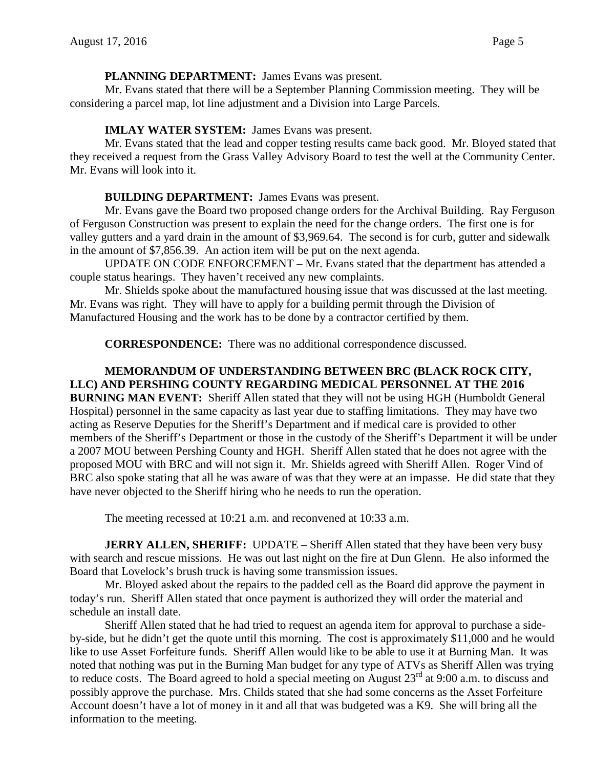#### **PLANNING DEPARTMENT:** James Evans was present.

Mr. Evans stated that there will be a September Planning Commission meeting. They will be considering a parcel map, lot line adjustment and a Division into Large Parcels.

## **IMLAY WATER SYSTEM:** James Evans was present.

Mr. Evans stated that the lead and copper testing results came back good. Mr. Bloyed stated that they received a request from the Grass Valley Advisory Board to test the well at the Community Center. Mr. Evans will look into it.

# **BUILDING DEPARTMENT:** James Evans was present.

Mr. Evans gave the Board two proposed change orders for the Archival Building. Ray Ferguson of Ferguson Construction was present to explain the need for the change orders. The first one is for valley gutters and a yard drain in the amount of \$3,969.64. The second is for curb, gutter and sidewalk in the amount of \$7,856.39. An action item will be put on the next agenda.

UPDATE ON CODE ENFORCEMENT – Mr. Evans stated that the department has attended a couple status hearings. They haven't received any new complaints.

Mr. Shields spoke about the manufactured housing issue that was discussed at the last meeting. Mr. Evans was right. They will have to apply for a building permit through the Division of Manufactured Housing and the work has to be done by a contractor certified by them.

**CORRESPONDENCE:** There was no additional correspondence discussed.

# **MEMORANDUM OF UNDERSTANDING BETWEEN BRC (BLACK ROCK CITY, LLC) AND PERSHING COUNTY REGARDING MEDICAL PERSONNEL AT THE 2016**

**BURNING MAN EVENT:** Sheriff Allen stated that they will not be using HGH (Humboldt General Hospital) personnel in the same capacity as last year due to staffing limitations. They may have two acting as Reserve Deputies for the Sheriff's Department and if medical care is provided to other members of the Sheriff's Department or those in the custody of the Sheriff's Department it will be under a 2007 MOU between Pershing County and HGH. Sheriff Allen stated that he does not agree with the proposed MOU with BRC and will not sign it. Mr. Shields agreed with Sheriff Allen. Roger Vind of BRC also spoke stating that all he was aware of was that they were at an impasse. He did state that they have never objected to the Sheriff hiring who he needs to run the operation.

The meeting recessed at 10:21 a.m. and reconvened at 10:33 a.m.

**JERRY ALLEN, SHERIFF:** UPDATE – Sheriff Allen stated that they have been very busy with search and rescue missions. He was out last night on the fire at Dun Glenn. He also informed the Board that Lovelock's brush truck is having some transmission issues.

Mr. Bloyed asked about the repairs to the padded cell as the Board did approve the payment in today's run. Sheriff Allen stated that once payment is authorized they will order the material and schedule an install date.

Sheriff Allen stated that he had tried to request an agenda item for approval to purchase a sideby-side, but he didn't get the quote until this morning. The cost is approximately \$11,000 and he would like to use Asset Forfeiture funds. Sheriff Allen would like to be able to use it at Burning Man. It was noted that nothing was put in the Burning Man budget for any type of ATVs as Sheriff Allen was trying to reduce costs. The Board agreed to hold a special meeting on August  $23^{rd}$  at 9:00 a.m. to discuss and possibly approve the purchase. Mrs. Childs stated that she had some concerns as the Asset Forfeiture Account doesn't have a lot of money in it and all that was budgeted was a K9. She will bring all the information to the meeting.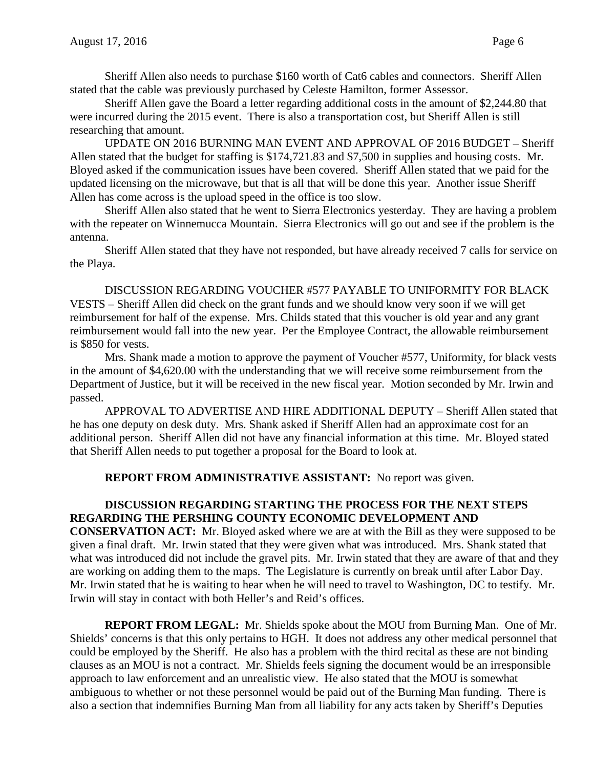Sheriff Allen also needs to purchase \$160 worth of Cat6 cables and connectors. Sheriff Allen stated that the cable was previously purchased by Celeste Hamilton, former Assessor.

Sheriff Allen gave the Board a letter regarding additional costs in the amount of \$2,244.80 that were incurred during the 2015 event. There is also a transportation cost, but Sheriff Allen is still researching that amount.

UPDATE ON 2016 BURNING MAN EVENT AND APPROVAL OF 2016 BUDGET – Sheriff Allen stated that the budget for staffing is \$174,721.83 and \$7,500 in supplies and housing costs. Mr. Bloyed asked if the communication issues have been covered. Sheriff Allen stated that we paid for the updated licensing on the microwave, but that is all that will be done this year. Another issue Sheriff Allen has come across is the upload speed in the office is too slow.

Sheriff Allen also stated that he went to Sierra Electronics yesterday. They are having a problem with the repeater on Winnemucca Mountain. Sierra Electronics will go out and see if the problem is the antenna.

Sheriff Allen stated that they have not responded, but have already received 7 calls for service on the Playa.

DISCUSSION REGARDING VOUCHER #577 PAYABLE TO UNIFORMITY FOR BLACK VESTS – Sheriff Allen did check on the grant funds and we should know very soon if we will get reimbursement for half of the expense. Mrs. Childs stated that this voucher is old year and any grant reimbursement would fall into the new year. Per the Employee Contract, the allowable reimbursement is \$850 for vests.

Mrs. Shank made a motion to approve the payment of Voucher #577, Uniformity, for black vests in the amount of \$4,620.00 with the understanding that we will receive some reimbursement from the Department of Justice, but it will be received in the new fiscal year. Motion seconded by Mr. Irwin and passed.

APPROVAL TO ADVERTISE AND HIRE ADDITIONAL DEPUTY – Sheriff Allen stated that he has one deputy on desk duty. Mrs. Shank asked if Sheriff Allen had an approximate cost for an additional person. Sheriff Allen did not have any financial information at this time. Mr. Bloyed stated that Sheriff Allen needs to put together a proposal for the Board to look at.

**REPORT FROM ADMINISTRATIVE ASSISTANT:** No report was given.

### **DISCUSSION REGARDING STARTING THE PROCESS FOR THE NEXT STEPS REGARDING THE PERSHING COUNTY ECONOMIC DEVELOPMENT AND**

**CONSERVATION ACT:** Mr. Bloyed asked where we are at with the Bill as they were supposed to be given a final draft. Mr. Irwin stated that they were given what was introduced. Mrs. Shank stated that what was introduced did not include the gravel pits. Mr. Irwin stated that they are aware of that and they are working on adding them to the maps. The Legislature is currently on break until after Labor Day. Mr. Irwin stated that he is waiting to hear when he will need to travel to Washington, DC to testify. Mr. Irwin will stay in contact with both Heller's and Reid's offices.

**REPORT FROM LEGAL:** Mr. Shields spoke about the MOU from Burning Man. One of Mr. Shields' concerns is that this only pertains to HGH. It does not address any other medical personnel that could be employed by the Sheriff. He also has a problem with the third recital as these are not binding clauses as an MOU is not a contract. Mr. Shields feels signing the document would be an irresponsible approach to law enforcement and an unrealistic view. He also stated that the MOU is somewhat ambiguous to whether or not these personnel would be paid out of the Burning Man funding. There is also a section that indemnifies Burning Man from all liability for any acts taken by Sheriff's Deputies